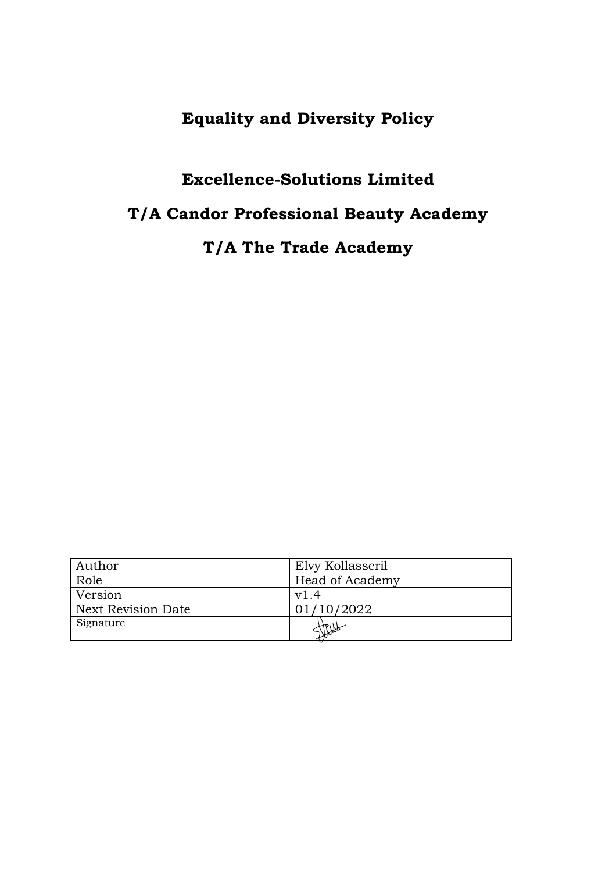## **Equality and Diversity Policy**

# **Excellence-Solutions Limited**

# **T/A Candor Professional Beauty Academy**

## **T/A The Trade Academy**

| Author                    | Elvy Kollasseril |
|---------------------------|------------------|
| Role                      | Head of Academy  |
| Version                   | v1.4             |
| <b>Next Revision Date</b> | 01/10/2022       |
| Signature                 |                  |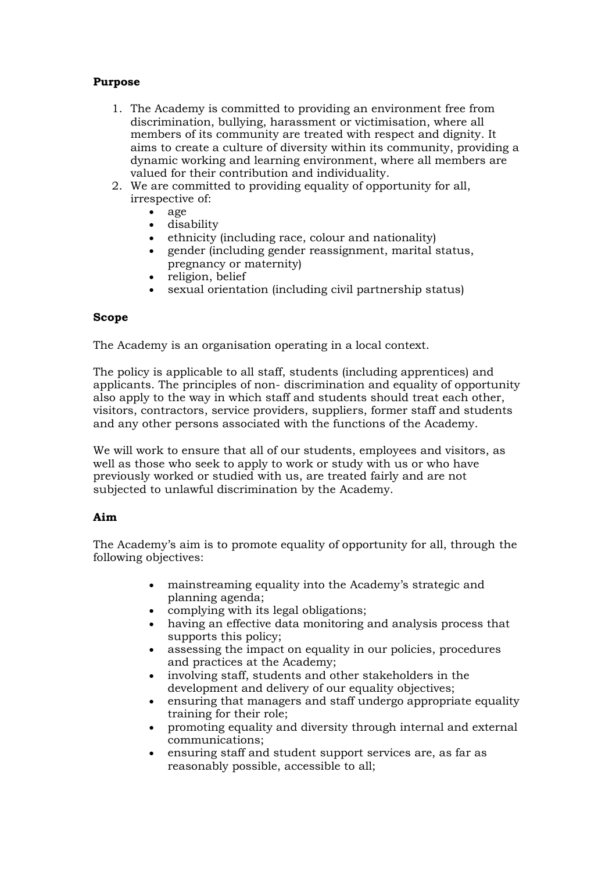### **Purpose**

- 1. The Academy is committed to providing an environment free from discrimination, bullying, harassment or victimisation, where all members of its community are treated with respect and dignity. It aims to create a culture of diversity within its community, providing a dynamic working and learning environment, where all members are valued for their contribution and individuality.
- 2. We are committed to providing equality of opportunity for all, irrespective of:
	- age
		- disability
		- ethnicity (including race, colour and nationality)
		- gender (including gender reassignment, marital status, pregnancy or maternity)
		- religion, belief
	- sexual orientation (including civil partnership status)

### **Scope**

The Academy is an organisation operating in a local context.

The policy is applicable to all staff, students (including apprentices) and applicants. The principles of non- discrimination and equality of opportunity also apply to the way in which staff and students should treat each other, visitors, contractors, service providers, suppliers, former staff and students and any other persons associated with the functions of the Academy.

We will work to ensure that all of our students, employees and visitors, as well as those who seek to apply to work or study with us or who have previously worked or studied with us, are treated fairly and are not subjected to unlawful discrimination by the Academy.

### **Aim**

The Academy's aim is to promote equality of opportunity for all, through the following objectives:

- mainstreaming equality into the Academy's strategic and planning agenda;
- complying with its legal obligations;
- having an effective data monitoring and analysis process that supports this policy;
- assessing the impact on equality in our policies, procedures and practices at the Academy;
- involving staff, students and other stakeholders in the development and delivery of our equality objectives;
- ensuring that managers and staff undergo appropriate equality training for their role;
- promoting equality and diversity through internal and external communications;
- ensuring staff and student support services are, as far as reasonably possible, accessible to all;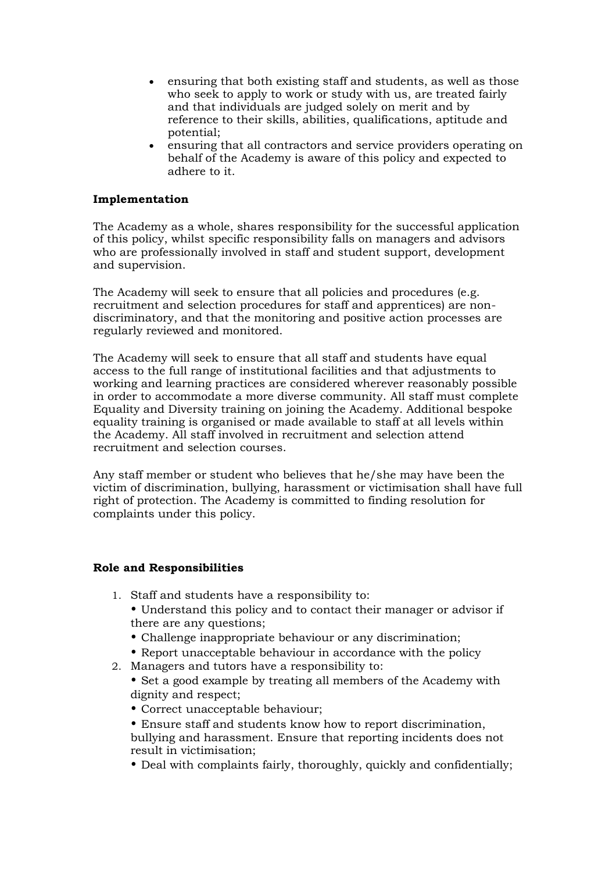- ensuring that both existing staff and students, as well as those who seek to apply to work or study with us, are treated fairly and that individuals are judged solely on merit and by reference to their skills, abilities, qualifications, aptitude and potential;
- ensuring that all contractors and service providers operating on behalf of the Academy is aware of this policy and expected to adhere to it.

#### **Implementation**

The Academy as a whole, shares responsibility for the successful application of this policy, whilst specific responsibility falls on managers and advisors who are professionally involved in staff and student support, development and supervision.

The Academy will seek to ensure that all policies and procedures (e.g. recruitment and selection procedures for staff and apprentices) are nondiscriminatory, and that the monitoring and positive action processes are regularly reviewed and monitored.

The Academy will seek to ensure that all staff and students have equal access to the full range of institutional facilities and that adjustments to working and learning practices are considered wherever reasonably possible in order to accommodate a more diverse community. All staff must complete Equality and Diversity training on joining the Academy. Additional bespoke equality training is organised or made available to staff at all levels within the Academy. All staff involved in recruitment and selection attend recruitment and selection courses.

Any staff member or student who believes that he/she may have been the victim of discrimination, bullying, harassment or victimisation shall have full right of protection. The Academy is committed to finding resolution for complaints under this policy.

#### **Role and Responsibilities**

- 1. Staff and students have a responsibility to:
	- Understand this policy and to contact their manager or advisor if there are any questions;
	- Challenge inappropriate behaviour or any discrimination;
	- Report unacceptable behaviour in accordance with the policy
- 2. Managers and tutors have a responsibility to:
	- Set a good example by treating all members of the Academy with dignity and respect;
		- Correct unacceptable behaviour;
	- Ensure staff and students know how to report discrimination, bullying and harassment. Ensure that reporting incidents does not result in victimisation;
	- Deal with complaints fairly, thoroughly, quickly and confidentially;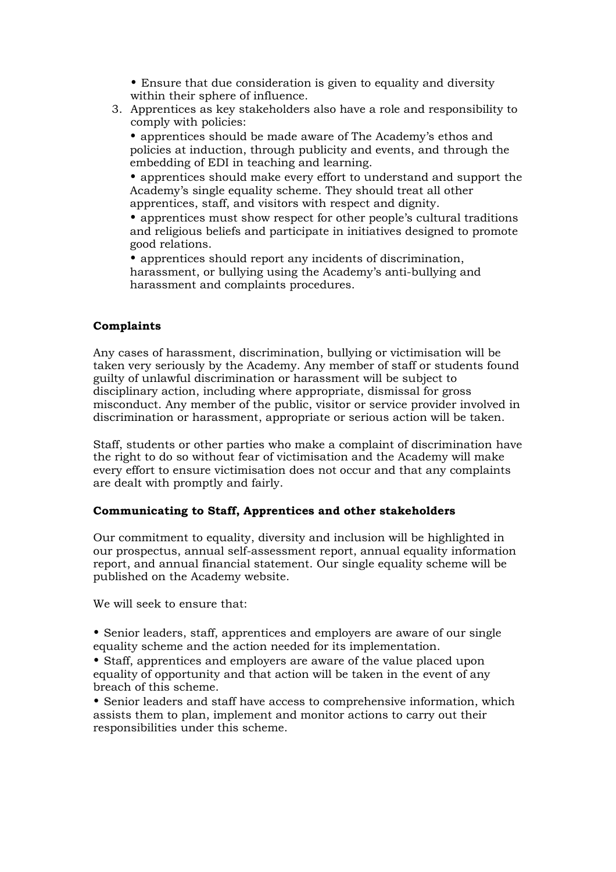- Ensure that due consideration is given to equality and diversity within their sphere of influence.
- 3. Apprentices as key stakeholders also have a role and responsibility to comply with policies:

• apprentices should be made aware of The Academy's ethos and policies at induction, through publicity and events, and through the embedding of EDI in teaching and learning.

• apprentices should make every effort to understand and support the Academy's single equality scheme. They should treat all other apprentices, staff, and visitors with respect and dignity.

• apprentices must show respect for other people's cultural traditions and religious beliefs and participate in initiatives designed to promote good relations.

• apprentices should report any incidents of discrimination, harassment, or bullying using the Academy's anti-bullying and harassment and complaints procedures.

### **Complaints**

Any cases of harassment, discrimination, bullying or victimisation will be taken very seriously by the Academy. Any member of staff or students found guilty of unlawful discrimination or harassment will be subject to disciplinary action, including where appropriate, dismissal for gross misconduct. Any member of the public, visitor or service provider involved in discrimination or harassment, appropriate or serious action will be taken.

Staff, students or other parties who make a complaint of discrimination have the right to do so without fear of victimisation and the Academy will make every effort to ensure victimisation does not occur and that any complaints are dealt with promptly and fairly.

#### **Communicating to Staff, Apprentices and other stakeholders**

Our commitment to equality, diversity and inclusion will be highlighted in our prospectus, annual self-assessment report, annual equality information report, and annual financial statement. Our single equality scheme will be published on the Academy website.

We will seek to ensure that:

• Senior leaders, staff, apprentices and employers are aware of our single equality scheme and the action needed for its implementation.

• Staff, apprentices and employers are aware of the value placed upon equality of opportunity and that action will be taken in the event of any breach of this scheme.

• Senior leaders and staff have access to comprehensive information, which assists them to plan, implement and monitor actions to carry out their responsibilities under this scheme.